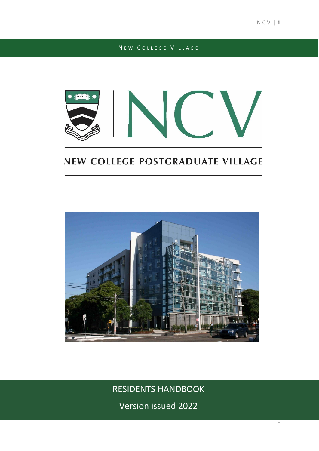# N E W COLLEGE VILLAGE



# NEW COLLEGE POSTGRADUATE VILLAGE



RESIDENTS HANDBOOK

Version issued 2022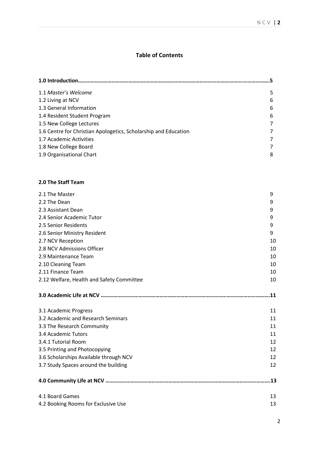# **Table of Contents**

| 1.1 Master's Welcome                                            | 5      |
|-----------------------------------------------------------------|--------|
| 1.2 Living at NCV                                               | 6      |
| 1.3 General Information                                         | 6      |
| 1.4 Resident Student Program                                    | 6      |
| 1.5 New College Lectures                                        | 7      |
| 1.6 Centre for Christian Apologetics, Scholarship and Education | 7      |
| 1.7 Academic Activities                                         | 7      |
| 1.8 New College Board                                           | 7      |
| 1.9 Organisational Chart                                        | 8      |
| 2.0 The Staff Team                                              |        |
|                                                                 |        |
| 2.1 The Master<br>2.2 The Dean                                  | 9      |
| 2.3 Assistant Dean                                              | 9<br>9 |
| 2.4 Senior Academic Tutor                                       | 9      |
| 2.5 Senior Residents                                            | 9      |
| 2.6 Senior Ministry Resident                                    | 9      |
| 2.7 NCV Reception                                               | 10     |
| 2.8 NCV Admissions Officer                                      | 10     |
| 2.9 Maintenance Team                                            | 10     |
| 2.10 Cleaning Team                                              | 10     |
| 2.11 Finance Team                                               | 10     |
| 2.12 Welfare, Health and Safety Committee                       | 10     |
|                                                                 |        |
| 3.1 Academic Progress                                           | 11     |
| 3.2 Academic and Research Seminars                              | 11     |
| 3.3 The Research Community                                      | 11     |
| 3.4 Academic Tutors                                             | 11     |
| 3.4.1 Tutorial Room                                             | 12     |
| 3.5 Printing and Photocopying                                   | 12     |
| 3.6 Scholarships Available through NCV                          | 12     |
| 3.7 Study Spaces around the building                            | 12     |
|                                                                 |        |

| 4.1 Board Games                     |  |
|-------------------------------------|--|
| 4.2 Booking Rooms for Exclusive Use |  |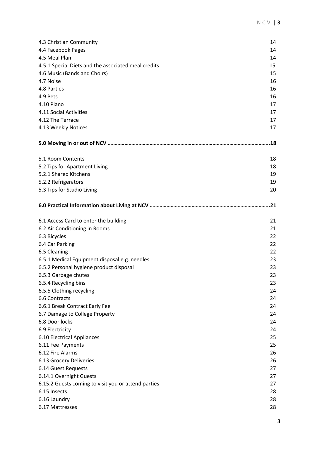| 4.3 Christian Community                             | 14  |  |  |
|-----------------------------------------------------|-----|--|--|
| 4.4 Facebook Pages                                  | 14  |  |  |
| 4.5 Meal Plan                                       |     |  |  |
| 4.5.1 Special Diets and the associated meal credits |     |  |  |
| 4.6 Music (Bands and Choirs)                        |     |  |  |
| 4.7 Noise                                           | 16  |  |  |
| 4.8 Parties                                         | 16  |  |  |
| 4.9 Pets                                            | 16  |  |  |
| 4.10 Piano                                          | 17  |  |  |
| 4.11 Social Activities                              | 17  |  |  |
| 4.12 The Terrace                                    | 17  |  |  |
| 4.13 Weekly Notices                                 | 17  |  |  |
|                                                     |     |  |  |
|                                                     |     |  |  |
| 5.1 Room Contents                                   | 18  |  |  |
| 5.2 Tips for Apartment Living                       | 18  |  |  |
| 5.2.1 Shared Kitchens                               | 19  |  |  |
| 5.2.2 Refrigerators                                 | 19  |  |  |
| 5.3 Tips for Studio Living                          | 20  |  |  |
|                                                     | .21 |  |  |
| 6.1 Access Card to enter the building               | 21  |  |  |
| 6.2 Air Conditioning in Rooms                       | 21  |  |  |
| 6.3 Bicycles                                        | 22  |  |  |
| 6.4 Car Parking                                     | 22  |  |  |
| 6.5 Cleaning                                        | 22  |  |  |
| 6.5.1 Medical Equipment disposal e.g. needles       | 23  |  |  |
| 6.5.2 Personal hygiene product disposal             | 23  |  |  |
| 6.5.3 Garbage chutes                                | 23  |  |  |
| 6.5.4 Recycling bins                                | 23  |  |  |
| 6.5.5 Clothing recycling                            | 24  |  |  |
| 6.6 Contracts                                       | 24  |  |  |
| 6.6.1 Break Contract Early Fee                      | 24  |  |  |
| 6.7 Damage to College Property                      | 24  |  |  |
| 6.8 Door locks                                      | 24  |  |  |
| 6.9 Electricity                                     | 24  |  |  |
| 6.10 Electrical Appliances                          | 25  |  |  |
| 6.11 Fee Payments                                   | 25  |  |  |
| 6.12 Fire Alarms                                    | 26  |  |  |
| 6.13 Grocery Deliveries                             | 26  |  |  |
| 6.14 Guest Requests                                 | 27  |  |  |
| 6.14.1 Overnight Guests                             | 27  |  |  |
| 6.15.2 Guests coming to visit you or attend parties | 27  |  |  |
| 6.15 Insects                                        | 28  |  |  |
| 6.16 Laundry                                        | 28  |  |  |
| 6.17 Mattresses                                     | 28  |  |  |
|                                                     |     |  |  |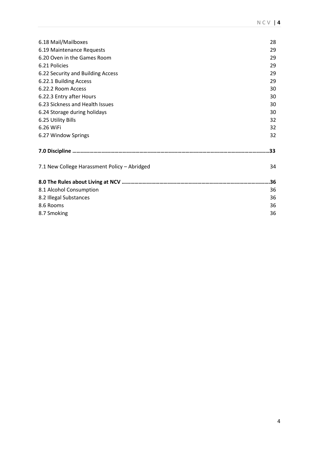| 28<br>29<br>29<br>29<br>29<br>29<br>30<br>30<br>30<br>30<br>32<br>32<br>32<br>.33<br>34<br>36<br>36<br>36<br>36<br>36 |                                              |  |
|-----------------------------------------------------------------------------------------------------------------------|----------------------------------------------|--|
|                                                                                                                       | 6.18 Mail/Mailboxes                          |  |
|                                                                                                                       | 6.19 Maintenance Requests                    |  |
|                                                                                                                       | 6.20 Oven in the Games Room                  |  |
|                                                                                                                       | 6.21 Policies                                |  |
|                                                                                                                       | 6.22 Security and Building Access            |  |
|                                                                                                                       | 6.22.1 Building Access                       |  |
|                                                                                                                       | 6.22.2 Room Access                           |  |
|                                                                                                                       | 6.22.3 Entry after Hours                     |  |
|                                                                                                                       | 6.23 Sickness and Health Issues              |  |
|                                                                                                                       | 6.24 Storage during holidays                 |  |
|                                                                                                                       | 6.25 Utility Bills                           |  |
|                                                                                                                       | 6.26 WiFi                                    |  |
|                                                                                                                       | 6.27 Window Springs                          |  |
|                                                                                                                       |                                              |  |
|                                                                                                                       | 7.1 New College Harassment Policy - Abridged |  |
|                                                                                                                       |                                              |  |
|                                                                                                                       | 8.1 Alcohol Consumption                      |  |
|                                                                                                                       | 8.2 Illegal Substances                       |  |
|                                                                                                                       | 8.6 Rooms                                    |  |
|                                                                                                                       | 8.7 Smoking                                  |  |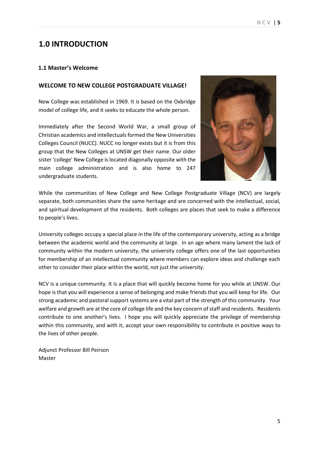# **1.0 INTRODUCTION**

#### **1.1 Master's Welcome**

#### **WELCOME TO NEW COLLEGE POSTGRADUATE VILLAGE!**

New College was established in 1969. It is based on the Oxbridge model of college life, and it seeks to educate the whole person.

Immediately after the Second World War, a small group of Christian academics and intellectuals formed the New Universities Colleges Council (NUCC). NUCC no longer exists but it is from this group that the New Colleges at UNSW get their name. Our older sister 'college' New College is located diagonally opposite with the main college administration and is also home to 247 undergraduate students.



While the communities of New College and New College Postgraduate Village (NCV) are largely separate, both communities share the same heritage and are concerned with the intellectual, social, and spiritual development of the residents. Both colleges are places that seek to make a difference to people's lives.

University colleges occupy a special place in the life of the contemporary university, acting as a bridge between the academic world and the community at large. In an age where many lament the lack of community within the modern university, the university college offers one of the last opportunities for membership of an intellectual community where members can explore ideas and challenge each other to consider their place within the world, not just the university.

NCV is a unique community. It is a place that will quickly become home for you while at UNSW. Our hope is that you will experience a sense of belonging and make friends that you will keep for life. Our strong academic and pastoral support systems are a vital part of the strength of this community. Your welfare and growth are at the core of college life and the key concern of staff and residents. Residents contribute to one another's lives. I hope you will quickly appreciate the privilege of membership within this community, and with it, accept your own responsibility to contribute in positive ways to the lives of other people.

Adjunct Professor Bill Peirson Master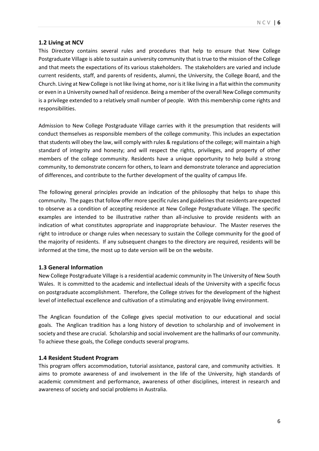#### **1.2 Living at NCV**

This Directory contains several rules and procedures that help to ensure that New College Postgraduate Village is able to sustain a university community that is true to the mission of the College and that meets the expectations of its various stakeholders. The stakeholders are varied and include current residents, staff, and parents of residents, alumni, the University, the College Board, and the Church. Living at New College is not like living at home, nor is it like living in a flat within the community or even in a University owned hall of residence. Being a member of the overall New College community is a privilege extended to a relatively small number of people. With this membership come rights and responsibilities.

Admission to New College Postgraduate Village carries with it the presumption that residents will conduct themselves as responsible members of the college community. This includes an expectation that students will obey the law, will comply with rules & regulations of the college; will maintain a high standard of integrity and honesty; and will respect the rights, privileges, and property of other members of the college community. Residents have a unique opportunity to help build a strong community, to demonstrate concern for others, to learn and demonstrate tolerance and appreciation of differences, and contribute to the further development of the quality of campus life.

The following general principles provide an indication of the philosophy that helps to shape this community. The pages that follow offer more specific rules and guidelines that residents are expected to observe as a condition of accepting residence at New College Postgraduate Village. The specific examples are intended to be illustrative rather than all-inclusive to provide residents with an indication of what constitutes appropriate and inappropriate behaviour. The Master reserves the right to introduce or change rules when necessary to sustain the College community for the good of the majority of residents. If any subsequent changes to the directory are required, residents will be informed at the time, the most up to date version will be on the website.

#### **1.3 General Information**

New College Postgraduate Village is a residential academic community in The University of New South Wales. It is committed to the academic and intellectual ideals of the University with a specific focus on postgraduate accomplishment. Therefore, the College strives for the development of the highest level of intellectual excellence and cultivation of a stimulating and enjoyable living environment.

The Anglican foundation of the College gives special motivation to our educational and social goals. The Anglican tradition has a long history of devotion to scholarship and of involvement in society and these are crucial. Scholarship and social involvement are the hallmarks of our community. To achieve these goals, the College conducts several programs.

#### **1.4 Resident Student Program**

This program offers accommodation, tutorial assistance, pastoral care, and community activities. It aims to promote awareness of and involvement in the life of the University, high standards of academic commitment and performance, awareness of other disciplines, interest in research and awareness of society and social problems in Australia.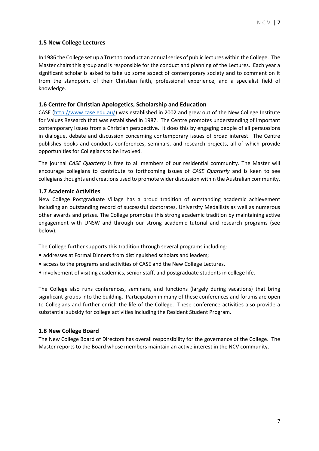# **1.5 New College Lectures**

In 1986 the College set up a Trust to conduct an annual series of public lectures within the College. The Master chairs this group and is responsible for the conduct and planning of the Lectures. Each year a significant scholar is asked to take up some aspect of contemporary society and to comment on it from the standpoint of their Christian faith, professional experience, and a specialist field of knowledge.

#### **1.6 Centre for Christian Apologetics, Scholarship and Education**

CASE [\(http://www.case.edu.au/\)](http://www.case.edu.au/) was established in 2002 and grew out of the New College Institute for Values Research that was established in 1987. The Centre promotes understanding of important contemporary issues from a Christian perspective. It does this by engaging people of all persuasions in dialogue, debate and discussion concerning contemporary issues of broad interest. The Centre publishes books and conducts conferences, seminars, and research projects, all of which provide opportunities for Collegians to be involved.

The journal *CASE Quarterly* is free to all members of our residential community. The Master will encourage collegians to contribute to forthcoming issues of *CASE Quarterly* and is keen to see collegians thoughts and creations used to promote wider discussion within the Australian community.

### **1.7 Academic Activities**

New College Postgraduate Village has a proud tradition of outstanding academic achievement including an outstanding record of successful doctorates, University Medallists as well as numerous other awards and prizes. The College promotes this strong academic tradition by maintaining active engagement with UNSW and through our strong academic tutorial and research programs (see below).

The College further supports this tradition through several programs including:

- addresses at Formal Dinners from distinguished scholars and leaders;
- access to the programs and activities of CASE and the New College Lectures.
- involvement of visiting academics, senior staff, and postgraduate students in college life.

The College also runs conferences, seminars, and functions (largely during vacations) that bring significant groups into the building. Participation in many of these conferences and forums are open to Collegians and further enrich the life of the College. These conference activities also provide a substantial subsidy for college activities including the Resident Student Program.

#### **1.8 New College Board**

The New College Board of Directors has overall responsibility for the governance of the College. The Master reports to the Board whose members maintain an active interest in the NCV community.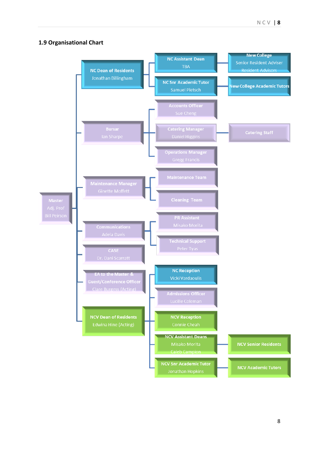# **1.9 Organisational Chart**

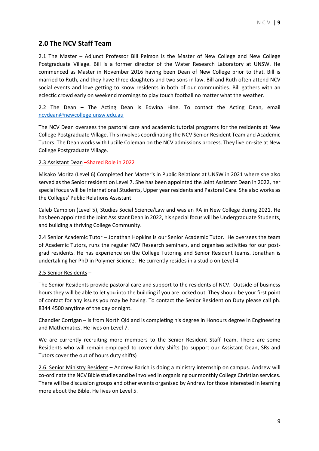# **2.0 The NCV Staff Team**

2.1 The Master – Adjunct Professor Bill Peirson is the Master of New College and New College Postgraduate Village. Bill is a former director of the Water Research Laboratory at UNSW. He commenced as Master in November 2016 having been Dean of New College prior to that. Bill is married to Ruth, and they have three daughters and two sons in law. Bill and Ruth often attend NCV social events and love getting to know residents in both of our communities. Bill gathers with an eclectic crowd early on weekend mornings to play touch football no matter what the weather.

2.2 The Dean – The Acting Dean is Edwina Hine. To contact the Acting Dean, email [ncvdean@newcollege.unsw.edu.au](mailto:ncvdean@newcollege.unsw.edu.au)

The NCV Dean oversees the pastoral care and academic tutorial programs for the residents at New College Postgraduate Village. This involves coordinating the NCV Senior Resident Team and Academic Tutors. The Dean works with Lucille Coleman on the NCV admissions process. They live on-site at New College Postgraduate Village.

#### 2.3 Assistant Dean –Shared Role in 2022

Misako Morita (Level 6) Completed her Master's in Public Relations at UNSW in 2021 where she also served as the Senior resident on Level 7. She has been appointed the Joint Assistant Dean in 2022, her special focus will be International Students, Upper year residents and Pastoral Care. She also works as the Colleges' Public Relations Assistant.

Caleb Campion (Level 5), Studies Social Science/Law and was an RA in New College during 2021. He has been appointed the Joint Assistant Dean in 2022, his special focus will be Undergraduate Students, and building a thriving College Community.

2.4 Senior Academic Tutor – Jonathan Hopkins is our Senior Academic Tutor. He oversees the team of Academic Tutors, runs the regular NCV Research seminars, and organises activities for our postgrad residents. He has experience on the College Tutoring and Senior Resident teams. Jonathan is undertaking her PhD in Polymer Science. He currently resides in a studio on Level 4.

#### 2.5 Senior Residents –

The Senior Residents provide pastoral care and support to the residents of NCV. Outside of business hours they will be able to let you into the building if you are locked out. They should be your first point of contact for any issues you may be having. To contact the Senior Resident on Duty please call ph. 8344 4500 anytime of the day or night.

Chandler Corrigan – is from North Qld and is completing his degree in Honours degree in Engineering and Mathematics. He lives on Level 7.

We are currently recruiting more members to the Senior Resident Staff Team. There are some Residents who will remain employed to cover duty shifts (to support our Assistant Dean, SRs and Tutors cover the out of hours duty shifts)

2.6. Senior Ministry Resident – Andrew Barich is doing a ministry internship on campus. Andrew will co-ordinate the NCV Bible studies and be involved in organising our monthly College Christian services. There will be discussion groups and other events organised by Andrew for those interested in learning more about the Bible. He lives on Level 5.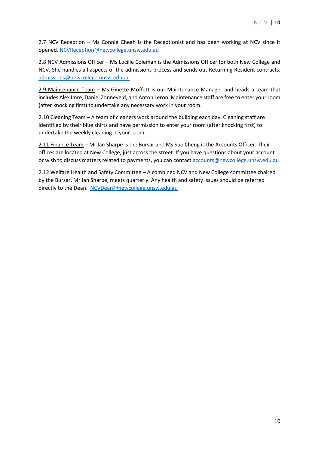2.7 NCV Reception – Ms Connie Cheah is the Receptionist and has been working at NCV since it opened. [NCVReception@newcollege.unsw.edu.au](mailto:NCVReception@newcollege.unsw.edu.au)

2.8 NCV Admissions Officer – Ms Lucille Coleman is the Admissions Officer for both New College and NCV. She handles all aspects of the admissions process and sends out Returning Resident contracts. [admissions@newcollege.unsw.edu.au](mailto:L.Coleman@newcollege.unsw.edu.au)

2.9 Maintenance Team – Ms Ginette Moffett is our Maintenance Manager and heads a team that includes Alex Imre, Daniel Zonneveld, and Anton Leron. Maintenance staff are free to enter your room (after knocking first) to undertake any necessary work in your room.

2.10 Cleaning Team – A team of cleaners work around the building each day. Cleaning staff are identified by their blue shirts and have permission to enter your room (after knocking first) to undertake the weekly cleaning in your room.

2.11 Finance Team – Mr Ian Sharpe is the Bursar and Ms Sue Cheng is the Accounts Officer. Their offices are located at New College, just across the street. If you have questions about your account or wish to discuss matters related to payments, you can contac[t accounts@newcollege.unsw.edu.au](mailto:S.Cheng@newcollege.unsw.edu.au)

2.12 Welfare Health and Safety Committee – A combined NCV and New College committee chaired by the Bursar, Mr Ian Sharpe, meets quarterly. Any health and safety issues should be referred directly to the Dean. [NCVDean@newcollege.unsw.edu.au](mailto:NCVDean@newcollege.unsw.edu.au)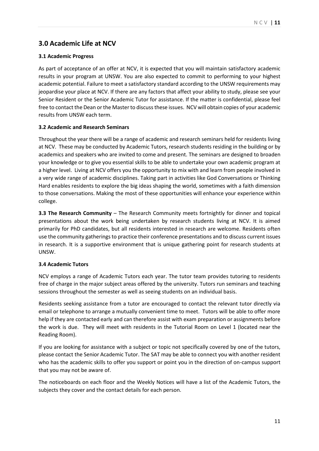# **3.0 Academic Life at NCV**

### **3.1 Academic Progress**

As part of acceptance of an offer at NCV, it is expected that you will maintain satisfactory academic results in your program at UNSW. You are also expected to commit to performing to your highest academic potential. Failure to meet a satisfactory standard according to the UNSW requirements may jeopardise your place at NCV. If there are any factors that affect your ability to study, please see your Senior Resident or the Senior Academic Tutor for assistance. If the matter is confidential, please feel free to contact the Dean or the Master to discuss these issues. NCV will obtain copies of your academic results from UNSW each term.

#### **3.2 Academic and Research Seminars**

Throughout the year there will be a range of academic and research seminars held for residents living at NCV. These may be conducted by Academic Tutors, research students residing in the building or by academics and speakers who are invited to come and present. The seminars are designed to broaden your knowledge or to give you essential skills to be able to undertake your own academic program at a higher level. Living at NCV offers you the opportunity to mix with and learn from people involved in a very wide range of academic disciplines. Taking part in activities like God Conversations or Thinking Hard enables residents to explore the big ideas shaping the world, sometimes with a faith dimension to those conversations. Making the most of these opportunities will enhance your experience within college.

**3.3 The Research Community** – The Research Community meets fortnightly for dinner and topical presentations about the work being undertaken by research students living at NCV. It is aimed primarily for PhD candidates, but all residents interested in research are welcome. Residents often use the community gatherings to practice their conference presentations and to discuss current issues in research. It is a supportive environment that is unique gathering point for research students at UNSW.

#### **3.4 Academic Tutors**

NCV employs a range of Academic Tutors each year. The tutor team provides tutoring to residents free of charge in the major subject areas offered by the university. Tutors run seminars and teaching sessions throughout the semester as well as seeing students on an individual basis.

Residents seeking assistance from a tutor are encouraged to contact the relevant tutor directly via email or telephone to arrange a mutually convenient time to meet. Tutors will be able to offer more help if they are contacted early and can therefore assist with exam preparation or assignments before the work is due. They will meet with residents in the Tutorial Room on Level 1 (located near the Reading Room).

If you are looking for assistance with a subject or topic not specifically covered by one of the tutors, please contact the Senior Academic Tutor. The SAT may be able to connect you with another resident who has the academic skills to offer you support or point you in the direction of on-campus support that you may not be aware of.

The noticeboards on each floor and the Weekly Notices will have a list of the Academic Tutors, the subjects they cover and the contact details for each person.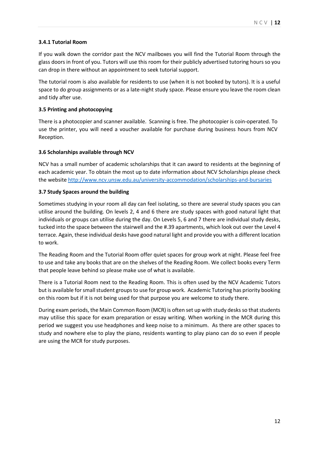### **3.4.1 Tutorial Room**

If you walk down the corridor past the NCV mailboxes you will find the Tutorial Room through the glass doors in front of you. Tutors will use this room for their publicly advertised tutoring hours so you can drop in there without an appointment to seek tutorial support.

The tutorial room is also available for residents to use (when it is not booked by tutors). It is a useful space to do group assignments or as a late-night study space. Please ensure you leave the room clean and tidy after use.

### **3.5 Printing and photocopying**

There is a photocopier and scanner available. Scanning is free. The photocopier is coin-operated. To use the printer, you will need a voucher available for purchase during business hours from NCV Reception.

### **3.6 Scholarships available through NCV**

NCV has a small number of academic scholarships that it can award to residents at the beginning of each academic year. To obtain the most up to date information about NCV Scholarships please check the website<http://www.ncv.unsw.edu.au/university-accommodation/scholarships-and-bursaries>

### **3.7 Study Spaces around the building**

Sometimes studying in your room all day can feel isolating, so there are several study spaces you can utilise around the building. On levels 2, 4 and 6 there are study spaces with good natural light that individuals or groups can utilise during the day. On Levels 5, 6 and 7 there are individual study desks, tucked into the space between the stairwell and the #.39 apartments, which look out over the Level 4 terrace. Again, these individual desks have good natural light and provide you with a different location to work.

The Reading Room and the Tutorial Room offer quiet spaces for group work at night. Please feel free to use and take any books that are on the shelves of the Reading Room. We collect books every Term that people leave behind so please make use of what is available.

There is a Tutorial Room next to the Reading Room. This is often used by the NCV Academic Tutors but is available for small student groups to use for group work. Academic Tutoring has priority booking on this room but if it is not being used for that purpose you are welcome to study there.

During exam periods, the Main Common Room (MCR) is often set up with study desks so that students may utilise this space for exam preparation or essay writing. When working in the MCR during this period we suggest you use headphones and keep noise to a minimum. As there are other spaces to study and nowhere else to play the piano, residents wanting to play piano can do so even if people are using the MCR for study purposes.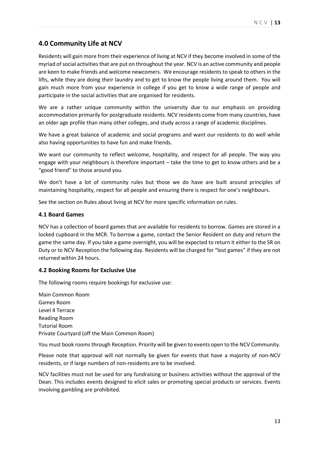# **4.0 Community Life at NCV**

Residents will gain more from their experience of living at NCV if they become involved in some of the myriad of social activities that are put on throughout the year. NCV is an active community and people are keen to make friends and welcome newcomers. We encourage residents to speak to others in the lifts, while they are doing their laundry and to get to know the people living around them. You will gain much more from your experience in college if you get to know a wide range of people and participate in the social activities that are organised for residents.

We are a rather unique community within the university due to our emphasis on providing accommodation primarily for postgraduate residents. NCV residents come from many countries, have an older age profile than many other colleges, and study across a range of academic disciplines.

We have a great balance of academic and social programs and want our residents to do well while also having opportunities to have fun and make friends.

We want our community to reflect welcome, hospitality, and respect for all people. The way you engage with your neighbours is therefore important – take the time to get to know others and be a "good friend" to those around you.

We don't have a lot of community rules but those we do have are built around principles of maintaining hospitality, respect for all people and ensuring there is respect for one's neighbours.

See the section on Rules about living at NCV for more specific information on rules.

#### **4.1 Board Games**

NCV has a collection of board games that are available for residents to borrow. Games are stored in a locked cupboard in the MCR. To borrow a game, contact the Senior Resident on duty and return the game the same day. If you take a game overnight, you will be expected to return it either to the SR on Duty or to NCV Reception the following day. Residents will be charged for "lost games" if they are not returned within 24 hours.

#### **4.2 Booking Rooms for Exclusive Use**

The following rooms require bookings for exclusive use:

Main Common Room Games Room Level 4 Terrace Reading Room Tutorial Room Private Courtyard (off the Main Common Room)

You must book rooms through Reception. Priority will be given to events open to the NCV Community.

Please note that approval will not normally be given for events that have a majority of non-NCV residents, or if large numbers of non-residents are to be involved.

NCV facilities must not be used for any fundraising or business activities without the approval of the Dean. This includes events designed to elicit sales or promoting special products or services. Events involving gambling are prohibited.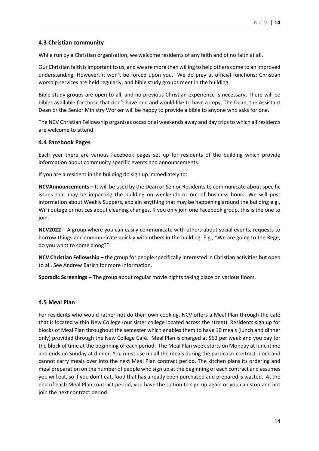### **4.3 Christian community**

While run by a Christian organisation, we welcome residents of any faith and of no faith at all.

Our Christian faith is important to us, and we are more than willing to help others come to an improved understanding. However, it won't be forced upon you. We do pray at official functions; Christian worship services are held regularly, and bible study groups meet in the building.

Bible study groups are open to all, and no previous Christian experience is necessary. There will be bibles available for those that don't have one and would like to have a copy. The Dean, the Assistant Dean or the Senior Ministry Worker will be happy to provide a bible to anyone who asks for one.

The NCV Christian Fellowship organises occasional weekends away and day trips to which all residents are welcome to attend.

#### **4.4 Facebook Pages**

Each year there are various Facebook pages set up for residents of the building which provide information about community specific events and announcements.

If you are a resident in the building do sign up immediately to:

**NCVAnnouncements –** It will be used by the Dean or Senior Residents to communicate about specific issues that may be impacting the building on weekends or out of business hours. We will post information about Weekly Suppers, explain anything that may be happening around the building e.g., WiFi outage or notices about cleaning changes. If you only join one Facebook group, this is the one to join.

**NCV2022** – A group where you can easily communicate with others about social events, requests to borrow things and communicate quickly with others in the building. E.g., "We are going to the Rege, do you want to come along?"

**NCV Christian Fellowship –** the group for people specifically interested in Christian activities but open to all. See Andrew Barich for more information.

**Sporadic Screenings –** The group about regular movie nights taking place on various floors.

#### **4.5 Meal Plan**

For residents who would rather not do their own cooking, NCV offers a Meal Plan through the café that is located within New College (our sister college located across the street). Residents sign up for blocks of Meal Plan throughout the semester which enables them to have 10 meals (lunch and dinner only) provided through the New College Café. Meal Plan is charged at \$63 per week and you pay for the block of time at the beginning of each period. The Meal Plan week starts on Monday at lunchtime and ends on Sunday at dinner. You must use up all the meals during the particular contract block and cannot carry meals over into the next Meal Plan contract period. The kitchen plans its ordering and meal preparation on the number of people who sign up at the beginning of each contract and assumes you will eat, so if you don't eat, food that has already been purchased and prepared is wasted. At the end of each Meal Plan contract period, you have the option to sign up again or you can stop and not join the next contract period.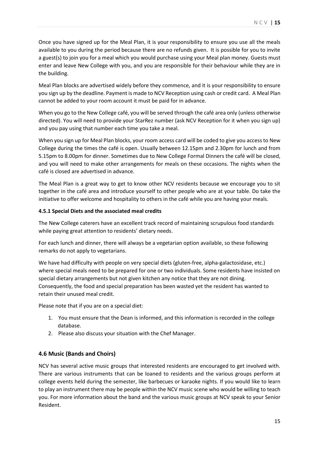Once you have signed up for the Meal Plan, it is your responsibility to ensure you use all the meals available to you during the period because there are no refunds given. It is possible for you to invite a guest(s) to join you for a meal which you would purchase using your Meal plan money. Guests must enter and leave New College with you, and you are responsible for their behaviour while they are in the building.

Meal Plan blocks are advertised widely before they commence, and it is your responsibility to ensure you sign up by the deadline. Payment is made to NCV Reception using cash or credit card. A Meal Plan cannot be added to your room account it must be paid for in advance.

When you go to the New College café, you will be served through the café area only (unless otherwise directed). You will need to provide your StarRez number (ask NCV Reception for it when you sign up) and you pay using that number each time you take a meal.

When you sign up for Meal Plan blocks, your room access card will be coded to give you access to New College during the times the café is open. Usually between 12.15pm and 2.30pm for lunch and from 5.15pm to 8.00pm for dinner. Sometimes due to New College Formal Dinners the café will be closed, and you will need to make other arrangements for meals on these occasions. The nights when the café is closed are advertised in advance.

The Meal Plan is a great way to get to know other NCV residents because we encourage you to sit together in the café area and introduce yourself to other people who are at your table. Do take the initiative to offer welcome and hospitality to others in the café while you are having your meals.

#### **4.5.1 Special Diets and the associated meal credits**

The New College caterers have an excellent track record of maintaining scrupulous food standards while paying great attention to residents' dietary needs.

For each lunch and dinner, there will always be a vegetarian option available, so these following remarks do not apply to vegetarians.

We have had difficulty with people on very special diets (gluten-free, alpha-galactosidase, etc.) where special meals need to be prepared for one or two individuals. Some residents have insisted on special dietary arrangements but not given kitchen any notice that they are not dining. Consequently, the food and special preparation has been wasted yet the resident has wanted to retain their unused meal credit.

Please note that if you are on a special diet:

- 1. You must ensure that the Dean is informed, and this information is recorded in the college database.
- 2. Please also discuss your situation with the Chef Manager.

#### **4.6 Music (Bands and Choirs)**

NCV has several active music groups that interested residents are encouraged to get involved with. There are various instruments that can be loaned to residents and the various groups perform at college events held during the semester, like barbecues or karaoke nights. If you would like to learn to play an instrument there may be people within the NCV music scene who would be willing to teach you. For more information about the band and the various music groups at NCV speak to your Senior Resident.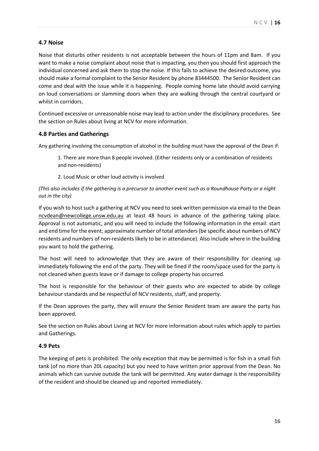### **4.7 Noise**

Noise that disturbs other residents is not acceptable between the hours of 11pm and 8am. If you want to make a noise complaint about noise that is impacting, you then you should first approach the individual concerned and ask them to stop the noise. If this fails to achieve the desired outcome, you should make a formal complaint to the Senior Resident by phone 83444500. The Senior Resident can come and deal with the issue while it is happening. People coming home late should avoid carrying on loud conversations or slamming doors when they are walking through the central courtyard or whilst in corridors.

Continued excessive or unreasonable noise may lead to action under the disciplinary procedures. See the section on Rules about living at NCV for more information.

#### **4.8 Parties and Gatherings**

Any gathering involving the consumption of alcohol in the building must have the approval of the Dean if:

1. There are more than 8 people involved. (Either residents only or a combination of residents and non-residents)

2. Loud Music or other loud activity is involved

#### *(This also includes if the gathering is a precursor to another event such as a Roundhouse Party or a night out in the city)*

If you wish to host such a gathering at NCV you need to seek written permission via email to the Dean [ncvdean@newcollege.unsw.edu.au](mailto:ncvdean@newcollege.unsw.edu.au) at least 48 hours in advance of the gathering taking place. Approval is not automatic, and you will need to include the following information in the email: start and end time for the event; approximate number of total attenders (be specific about numbers of NCV residents and numbers of non-residents likely to be in attendance). Also include where in the building you want to hold the gathering.

The host will need to acknowledge that they are aware of their responsibility for cleaning up immediately following the end of the party. They will be fined if the room/space used for the party is not cleaned when guests leave or if damage to college property has occurred.

The host is responsible for the behaviour of their guests who are expected to abide by college behaviour standards and be respectful of NCV residents, staff, and property.

If the Dean approves the party, they will ensure the Senior Resident team are aware the party has been approved.

See the section on Rules about Living at NCV for more information about rules which apply to parties and Gatherings.

#### **4.9 Pets**

The keeping of pets is prohibited. The only exception that may be permitted is for fish in a small fish tank (of no more than 20L capacity) but you need to have written prior approval from the Dean. No animals which can survive outside the tank will be permitted. Any water damage is the responsibility of the resident and should be cleaned up and reported immediately.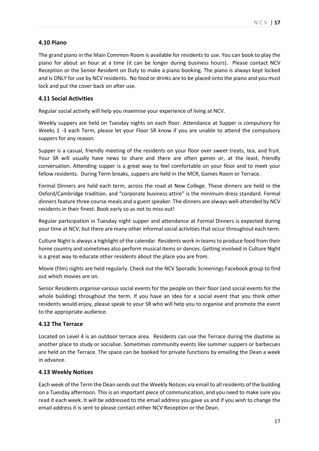### **4.10 Piano**

The grand piano in the Main Common Room is available for residents to use. You can book to play the piano for about an hour at a time (it can be longer during business hours). Please contact NCV Reception or the Senior Resident on Duty to make a piano booking. The piano is always kept locked and is ONLY for use by NCV residents. No food or drinks are to be placed onto the piano and you must lock and put the cover back on after use.

#### **4.11 Social Activities**

Regular social activity will help you maximise your experience of living at NCV.

Weekly suppers are held on Tuesday nights on each floor. Attendance at Supper is compulsory for Weeks 1 -3 each Term, please let your Floor SR know if you are unable to attend the compulsory suppers for any reason.

Supper is a casual, friendly meeting of the residents on your floor over sweet treats, tea, and fruit. Your SR will usually have news to share and there are often games or, at the least, friendly conversation. Attending supper is a great way to feel comfortable on your floor and to meet your fellow residents. During Term breaks, suppers are held in the MCR, Games Room or Terrace.

Formal Dinners are held each term, across the road at New College. These dinners are held in the Oxford/Cambridge tradition, and "corporate business attire" is the minimum dress standard. Formal dinners feature three course meals and a guest speaker. The dinners are always well-attended by NCV residents in their finest. Book early so as not to miss out!

Regular participation in Tuesday night supper and attendance at Formal Dinners is expected during your time at NCV, but there are many other informal social activities that occur throughout each term.

Culture Night is always a highlight of the calendar. Residents work in teams to produce food from their home country and sometimes also perform musical items or dances. Getting involved in Culture Night is a great way to educate other residents about the place you are from.

Movie (film) nights are held regularly. Check out the NCV Sporadic Screenings Facebook group to find out which movies are on.

Senior Residents organise various social events for the people on their floor (and social events for the whole building) throughout the term. If you have an idea for a social event that you think other residents would enjoy, please speak to your SR who will help you to organise and promote the event to the appropriate audience.

#### **4.12 The Terrace**

Located on Level 4 is an outdoor terrace area. Residents can use the Terrace during the daytime as another place to study or socialise. Sometimes community events like summer suppers or barbecues are held on the Terrace. The space can be booked for private functions by emailing the Dean a week in advance.

#### **4.13 Weekly Notices**

Each week of the Term the Dean sends out the Weekly Notices via email to all residents of the building on a Tuesday afternoon. This is an important piece of communication, and you need to make sure you read it each week. It will be addressed to the email address you gave us and if you wish to change the email address it is sent to please contact either NCV Reception or the Dean.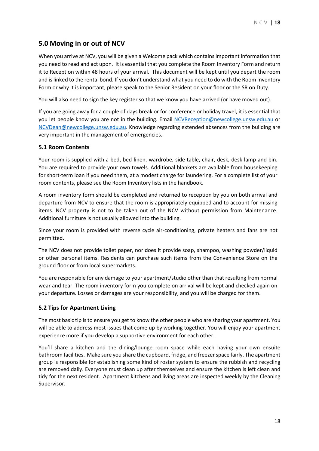# **5.0 Moving in or out of NCV**

When you arrive at NCV, you will be given a Welcome pack which contains important information that you need to read and act upon. It is essential that you complete the Room Inventory Form and return it to Reception within 48 hours of your arrival. This document will be kept until you depart the room and is linked to the rental bond. If you don't understand what you need to do with the Room Inventory Form or why it is important, please speak to the Senior Resident on your floor or the SR on Duty.

You will also need to sign the key register so that we know you have arrived (or have moved out).

If you are going away for a couple of days break or for conference or holiday travel, it is essential that you let people know you are not in the building. Email [NCVReception@newcollege.unsw.edu.au](mailto:NCVReception@newcollege.unsw.edu.au) or [NCVDean@newcollege.unsw.edu.au.](mailto:NCVDean@newcollege.unsw.edu.au) Knowledge regarding extended absences from the building are very important in the management of emergencies.

### **5.1 Room Contents**

Your room is supplied with a bed, bed linen, wardrobe, side table, chair, desk, desk lamp and bin. You are required to provide your own towels. Additional blankets are available from housekeeping for short-term loan if you need them, at a modest charge for laundering. For a complete list of your room contents, please see the Room Inventory lists in the handbook.

A room inventory form should be completed and returned to reception by you on both arrival and departure from NCV to ensure that the room is appropriately equipped and to account for missing items. NCV property is not to be taken out of the NCV without permission from Maintenance. Additional furniture is not usually allowed into the building.

Since your room is provided with reverse cycle air-conditioning, private heaters and fans are not permitted.

The NCV does not provide toilet paper, nor does it provide soap, shampoo, washing powder/liquid or other personal items. Residents can purchase such items from the Convenience Store on the ground floor or from local supermarkets.

You are responsible for any damage to your apartment/studio other than that resulting from normal wear and tear. The room inventory form you complete on arrival will be kept and checked again on your departure. Losses or damages are your responsibility, and you will be charged for them.

# **5.2 Tips for Apartment Living**

The most basic tip is to ensure you get to know the other people who are sharing your apartment. You will be able to address most issues that come up by working together. You will enjoy your apartment experience more if you develop a supportive environment for each other.

You'll share a kitchen and the dining/lounge room space while each having your own ensuite bathroom facilities. Make sure you share the cupboard, fridge, and freezer space fairly. The apartment group is responsible for establishing some kind of roster system to ensure the rubbish and recycling are removed daily. Everyone must clean up after themselves and ensure the kitchen is left clean and tidy for the next resident. Apartment kitchens and living areas are inspected weekly by the Cleaning Supervisor.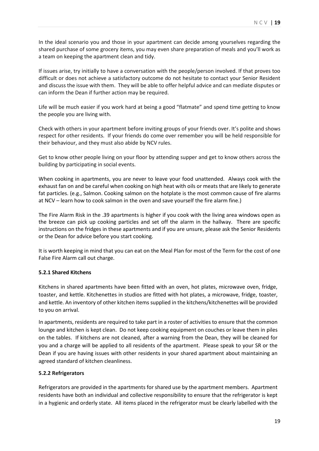In the ideal scenario you and those in your apartment can decide among yourselves regarding the shared purchase of some grocery items, you may even share preparation of meals and you'll work as a team on keeping the apartment clean and tidy.

If issues arise, try initially to have a conversation with the people/person involved. If that proves too difficult or does not achieve a satisfactory outcome do not hesitate to contact your Senior Resident and discuss the issue with them. They will be able to offer helpful advice and can mediate disputes or can inform the Dean if further action may be required.

Life will be much easier if you work hard at being a good "flatmate" and spend time getting to know the people you are living with.

Check with others in your apartment before inviting groups of your friends over. It's polite and shows respect for other residents. If your friends do come over remember you will be held responsible for their behaviour, and they must also abide by NCV rules.

Get to know other people living on your floor by attending supper and get to know others across the building by participating in social events.

When cooking in apartments, you are never to leave your food unattended. Always cook with the exhaust fan on and be careful when cooking on high heat with oils or meats that are likely to generate fat particles. (e.g., Salmon. Cooking salmon on the hotplate is the most common cause of fire alarms at NCV – learn how to cook salmon in the oven and save yourself the fire alarm fine.)

The Fire Alarm Risk in the .39 apartments is higher if you cook with the living area windows open as the breeze can pick up cooking particles and set off the alarm in the hallway. There are specific instructions on the fridges in these apartments and if you are unsure, please ask the Senior Residents or the Dean for advice before you start cooking.

It is worth keeping in mind that you can eat on the Meal Plan for most of the Term for the cost of one False Fire Alarm call out charge.

#### **5.2.1 Shared Kitchens**

Kitchens in shared apartments have been fitted with an oven, hot plates, microwave oven, fridge, toaster, and kettle. Kitchenettes in studios are fitted with hot plates, a microwave, fridge, toaster, and kettle. An inventory of other kitchen items supplied in the kitchens/kitchenettes will be provided to you on arrival.

In apartments, residents are required to take part in a roster of activities to ensure that the common lounge and kitchen is kept clean. Do not keep cooking equipment on couches or leave them in piles on the tables. If kitchens are not cleaned, after a warning from the Dean, they will be cleaned for you and a charge will be applied to all residents of the apartment. Please speak to your SR or the Dean if you are having issues with other residents in your shared apartment about maintaining an agreed standard of kitchen cleanliness.

#### **5.2.2 Refrigerators**

Refrigerators are provided in the apartments for shared use by the apartment members. Apartment residents have both an individual and collective responsibility to ensure that the refrigerator is kept in a hygienic and orderly state. All items placed in the refrigerator must be clearly labelled with the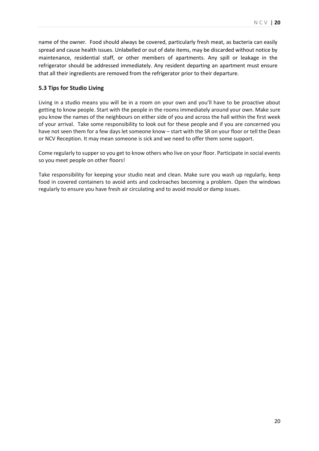name of the owner. Food should always be covered, particularly fresh meat, as bacteria can easily spread and cause health issues. Unlabelled or out of date items, may be discarded without notice by maintenance, residential staff, or other members of apartments. Any spill or leakage in the refrigerator should be addressed immediately. Any resident departing an apartment must ensure that all their ingredients are removed from the refrigerator prior to their departure.

# **5.3 Tips for Studio Living**

Living in a studio means you will be in a room on your own and you'll have to be proactive about getting to know people. Start with the people in the rooms immediately around your own. Make sure you know the names of the neighbours on either side of you and across the hall within the first week of your arrival. Take some responsibility to look out for these people and if you are concerned you have not seen them for a few days let someone know – start with the SR on your floor or tell the Dean or NCV Reception. It may mean someone is sick and we need to offer them some support.

Come regularly to supper so you get to know others who live on your floor. Participate in social events so you meet people on other floors!

Take responsibility for keeping your studio neat and clean. Make sure you wash up regularly, keep food in covered containers to avoid ants and cockroaches becoming a problem. Open the windows regularly to ensure you have fresh air circulating and to avoid mould or damp issues.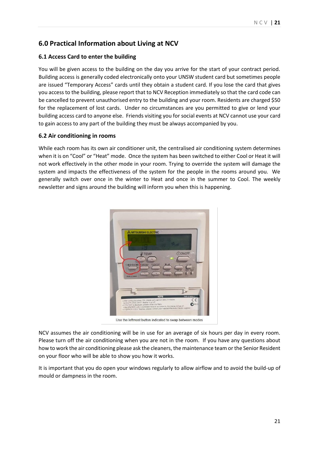# **6.0 Practical Information about Living at NCV**

# **6.1 Access Card to enter the building**

You will be given access to the building on the day you arrive for the start of your contract period. Building access is generally coded electronically onto your UNSW student card but sometimes people are issued "Temporary Access" cards until they obtain a student card. If you lose the card that gives you access to the building, please report that to NCV Reception immediately so that the card code can be cancelled to prevent unauthorised entry to the building and your room. Residents are charged \$50 for the replacement of lost cards. Under no circumstances are you permitted to give or lend your building access card to anyone else. Friends visiting you for social events at NCV cannot use your card to gain access to any part of the building they must be always accompanied by you.

# **6.2 Air conditioning in rooms**

While each room has its own air conditioner unit, the centralised air conditioning system determines when it is on "Cool" or "Heat" mode. Once the system has been switched to either Cool or Heat it will not work effectively in the other mode in your room. Trying to override the system will damage the system and impacts the effectiveness of the system for the people in the rooms around you. We generally switch over once in the winter to Heat and once in the summer to Cool. The weekly newsletter and signs around the building will inform you when this is happening.



Use the leftmost button indicated to swap between modes

NCV assumes the air conditioning will be in use for an average of six hours per day in every room. Please turn off the air conditioning when you are not in the room. If you have any questions about how to work the air conditioning please ask the cleaners, the maintenance team or the Senior Resident on your floor who will be able to show you how it works.

It is important that you do open your windows regularly to allow airflow and to avoid the build-up of mould or dampness in the room.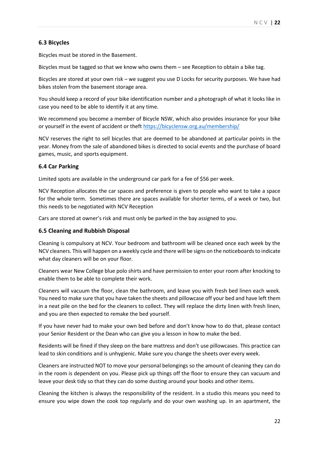### **6.3 Bicycles**

Bicycles must be stored in the Basement.

Bicycles must be tagged so that we know who owns them – see Reception to obtain a bike tag.

Bicycles are stored at your own risk – we suggest you use D Locks for security purposes. We have had bikes stolen from the basement storage area.

You should keep a record of your bike identification number and a photograph of what it looks like in case you need to be able to identify it at any time.

We recommend you become a member of Bicycle NSW, which also provides insurance for your bike or yourself in the event of accident or theft<https://bicyclensw.org.au/membership/>

NCV reserves the right to sell bicycles that are deemed to be abandoned at particular points in the year. Money from the sale of abandoned bikes is directed to social events and the purchase of board games, music, and sports equipment.

#### **6.4 Car Parking**

Limited spots are available in the underground car park for a fee of \$56 per week.

NCV Reception allocates the car spaces and preference is given to people who want to take a space for the whole term. Sometimes there are spaces available for shorter terms, of a week or two, but this needs to be negotiated with NCV Reception

Cars are stored at owner's risk and must only be parked in the bay assigned to you.

#### **6.5 Cleaning and Rubbish Disposal**

Cleaning is compulsory at NCV. Your bedroom and bathroom will be cleaned once each week by the NCV cleaners. This will happen on a weekly cycle and there will be signs on the noticeboards to indicate what day cleaners will be on your floor.

Cleaners wear New College blue polo shirts and have permission to enter your room after knocking to enable them to be able to complete their work.

Cleaners will vacuum the floor, clean the bathroom, and leave you with fresh bed linen each week. You need to make sure that you have taken the sheets and pillowcase off your bed and have left them in a neat pile on the bed for the cleaners to collect. They will replace the dirty linen with fresh linen, and you are then expected to remake the bed yourself.

If you have never had to make your own bed before and don't know how to do that, please contact your Senior Resident or the Dean who can give you a lesson in how to make the bed.

Residents will be fined if they sleep on the bare mattress and don't use pillowcases. This practice can lead to skin conditions and is unhygienic. Make sure you change the sheets over every week.

Cleaners are instructed NOT to move your personal belongings so the amount of cleaning they can do in the room is dependent on you. Please pick up things off the floor to ensure they can vacuum and leave your desk tidy so that they can do some dusting around your books and other items.

Cleaning the kitchen is always the responsibility of the resident. In a studio this means you need to ensure you wipe down the cook top regularly and do your own washing up. In an apartment, the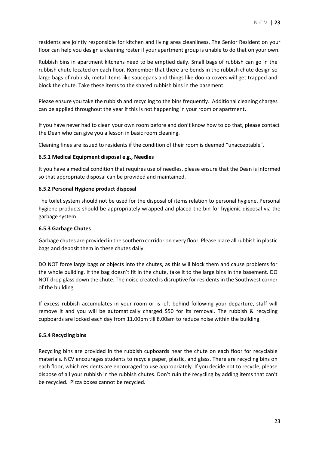residents are jointly responsible for kitchen and living area cleanliness. The Senior Resident on your floor can help you design a cleaning roster if your apartment group is unable to do that on your own.

Rubbish bins in apartment kitchens need to be emptied daily. Small bags of rubbish can go in the rubbish chute located on each floor. Remember that there are bends in the rubbish chute design so large bags of rubbish, metal items like saucepans and things like doona covers will get trapped and block the chute. Take these items to the shared rubbish bins in the basement.

Please ensure you take the rubbish and recycling to the bins frequently. Additional cleaning charges can be applied throughout the year if this is not happening in your room or apartment.

If you have never had to clean your own room before and don't know how to do that, please contact the Dean who can give you a lesson in basic room cleaning.

Cleaning fines are issued to residents if the condition of their room is deemed "unacceptable".

#### **6.5.1 Medical Equipment disposal e.g., Needles**

It you have a medical condition that requires use of needles, please ensure that the Dean is informed so that appropriate disposal can be provided and maintained.

#### **6.5.2 Personal Hygiene product disposal**

The toilet system should not be used for the disposal of items relation to personal hygiene. Personal hygiene products should be appropriately wrapped and placed the bin for hygienic disposal via the garbage system.

#### **6.5.3 Garbage Chutes**

Garbage chutes are provided in the southern corridor on every floor. Please place all rubbish in plastic bags and deposit them in these chutes daily.

DO NOT force large bags or objects into the chutes, as this will block them and cause problems for the whole building. If the bag doesn't fit in the chute, take it to the large bins in the basement. DO NOT drop glass down the chute. The noise created is disruptive for residents in the Southwest corner of the building.

If excess rubbish accumulates in your room or is left behind following your departure, staff will remove it and you will be automatically charged \$50 for its removal. The rubbish & recycling cupboards are locked each day from 11.00pm till 8.00am to reduce noise within the building.

#### **6.5.4 Recycling bins**

Recycling bins are provided in the rubbish cupboards near the chute on each floor for recyclable materials. NCV encourages students to recycle paper, plastic, and glass. There are recycling bins on each floor, which residents are encouraged to use appropriately. If you decide not to recycle, please dispose of all your rubbish in the rubbish chutes. Don't ruin the recycling by adding items that can't be recycled. Pizza boxes cannot be recycled.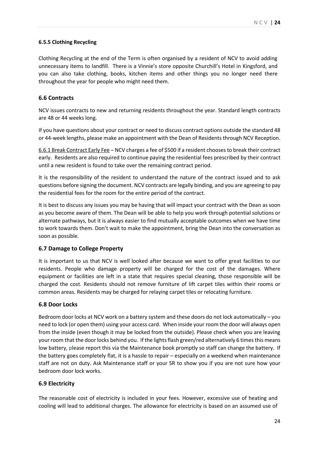#### **6.5.5 Clothing Recycling**

Clothing Recycling at the end of the Term is often organised by a resident of NCV to avoid adding unnecessary items to landfill. There is a Vinnie's store opposite Churchill's Hotel in Kingsford, and you can also take clothing, books, kitchen items and other things you no longer need there throughout the year for people who might need them.

#### **6.6 Contracts**

NCV issues contracts to new and returning residents throughout the year. Standard length contracts are 48 or 44 weeks long.

If you have questions about your contract or need to discuss contract options outside the standard 48 or 44-week lengths, please make an appointment with the Dean of Residents through NCV Reception.

6.6.1 Break Contract Early Fee – NCV charges a fee of \$500 if a resident chooses to break their contract early. Residents are also required to continue paying the residential fees prescribed by their contract until a new resident is found to take over the remaining contract period.

It is the responsibility of the resident to understand the nature of the contract issued and to ask questions before signing the document. NCV contracts are legally binding, and you are agreeing to pay the residential fees for the room for the entire period of the contract.

It is best to discuss any issues you may be having that will impact your contract with the Dean as soon as you become aware of them. The Dean will be able to help you work through potential solutions or alternate pathways, but it is always easier to find mutually acceptable outcomes when we have time to work towards them. Don't wait to make the appointment, bring the Dean into the conversation as soon as possible.

#### **6.7 Damage to College Property**

It is important to us that NCV is well looked after because we want to offer great facilities to our residents. People who damage property will be charged for the cost of the damages. Where equipment or facilities are left in a state that requires special cleaning, those responsible will be charged the cost. Residents should not remove furniture of lift carpet tiles within their rooms or common areas. Residents may be charged for relaying carpet tiles or relocating furniture.

#### **6.8 Door Locks**

Bedroom door locks at NCV work on a battery system and these doors do not lock automatically – you need to lock (or open them) using your access card. When inside your room the door will always open from the inside (even though it may be locked from the outside). Please check when you are leaving your room that the door locks behind you. If the lights flash green/red alternatively 6 times this means low battery, please report this via the Maintenance book promptly so staff can change the battery. If the battery goes completely flat, it is a hassle to repair – especially on a weekend when maintenance staff are not on duty. Ask Maintenance staff or your SR to show you if you are not sure how your bedroom door lock works.

#### **6.9 Electricity**

The reasonable cost of electricity is included in your fees. However, excessive use of heating and cooling will lead to additional charges. The allowance for electricity is based on an assumed use of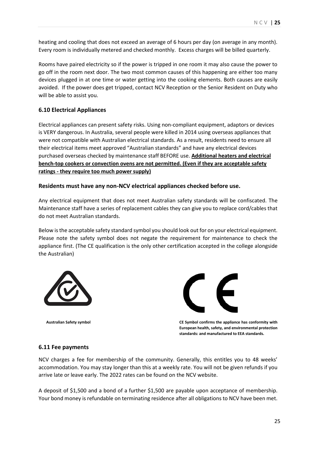heating and cooling that does not exceed an average of 6 hours per day (on average in any month). Every room is individually metered and checked monthly. Excess charges will be billed quarterly.

Rooms have paired electricity so if the power is tripped in one room it may also cause the power to go off in the room next door. The two most common causes of this happening are either too many devices plugged in at one time or water getting into the cooking elements. Both causes are easily avoided. If the power does get tripped, contact NCV Reception or the Senior Resident on Duty who will be able to assist you.

# **6.10 Electrical Appliances**

Electrical appliances can present safety risks. Using non-compliant equipment, adaptors or devices is VERY dangerous. In Australia, several people were killed in 2014 using overseas appliances that were not compatible with Australian electrical standards. As a result, residents need to ensure all their electrical items meet approved "Australian standards" and have any electrical devices purchased overseas checked by maintenance staff BEFORE use. **Additional heaters and electrical bench-top cookers or convection ovens are not permitted. (Even if they are acceptable safety ratings - they require too much power supply)**

#### **Residents must have any non-NCV electrical appliances checked before use.**

Any electrical equipment that does not meet Australian safety standards will be confiscated. The Maintenance staff have a series of replacement cables they can give you to replace cord/cables that do not meet Australian standards.

Below isthe acceptable safety standard symbol you should look out for on your electrical equipment. Please note the safety symbol does not negate the requirement for maintenance to check the appliance first. (The CE qualification is the only other certification accepted in the college alongside the Australian)





 **Australian Safety symbol CE Symbol confirms the appliance has conformity with European health, safety, and environmental protection standards: and manufactured to EEA standards.**

#### **6.11 Fee payments**

NCV charges a fee for membership of the community. Generally, this entitles you to 48 weeks' accommodation. You may stay longer than this at a weekly rate. You will not be given refunds if you arrive late or leave early. The 2022 rates can be found on the NCV website.

A deposit of \$1,500 and a bond of a further \$1,500 are payable upon acceptance of membership. Your bond money is refundable on terminating residence after all obligations to NCV have been met.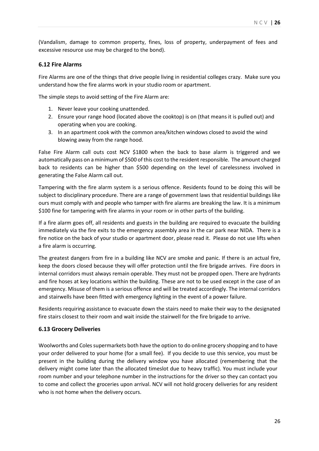(Vandalism, damage to common property, fines, loss of property, underpayment of fees and excessive resource use may be charged to the bond).

#### **6.12 Fire Alarms**

Fire Alarms are one of the things that drive people living in residential colleges crazy. Make sure you understand how the fire alarms work in your studio room or apartment.

The simple steps to avoid setting of the Fire Alarm are:

- 1. Never leave your cooking unattended.
- 2. Ensure your range hood (located above the cooktop) is on (that means it is pulled out) and operating when you are cooking.
- 3. In an apartment cook with the common area/kitchen windows closed to avoid the wind blowing away from the range hood.

False Fire Alarm call outs cost NCV \$1800 when the back to base alarm is triggered and we automatically pass on a minimum of \$500 of this cost to the resident responsible. The amount charged back to residents can be higher than \$500 depending on the level of carelessness involved in generating the False Alarm call out.

Tampering with the fire alarm system is a serious offence. Residents found to be doing this will be subject to disciplinary procedure. There are a range of government laws that residential buildings like ours must comply with and people who tamper with fire alarms are breaking the law. It is a minimum \$100 fine for tampering with fire alarms in your room or in other parts of the building.

If a fire alarm goes off, all residents and guests in the building are required to evacuate the building immediately via the fire exits to the emergency assembly area in the car park near NIDA. There is a fire notice on the back of your studio or apartment door, please read it. Please do not use lifts when a fire alarm is occurring.

The greatest dangers from fire in a building like NCV are smoke and panic. If there is an actual fire, keep the doors closed because they will offer protection until the fire brigade arrives. Fire doors in internal corridors must always remain operable. They must not be propped open. There are hydrants and fire hoses at key locations within the building. These are not to be used except in the case of an emergency. Misuse of them is a serious offence and will be treated accordingly. The internal corridors and stairwells have been fitted with emergency lighting in the event of a power failure.

Residents requiring assistance to evacuate down the stairs need to make their way to the designated fire stairs closest to their room and wait inside the stairwell for the fire brigade to arrive.

#### **6.13 Grocery Deliveries**

Woolworths and Coles supermarkets both have the option to do online grocery shopping and to have your order delivered to your home (for a small fee). If you decide to use this service, you must be present in the building during the delivery window you have allocated (remembering that the delivery might come later than the allocated timeslot due to heavy traffic). You must include your room number and your telephone number in the instructions for the driver so they can contact you to come and collect the groceries upon arrival. NCV will not hold grocery deliveries for any resident who is not home when the delivery occurs.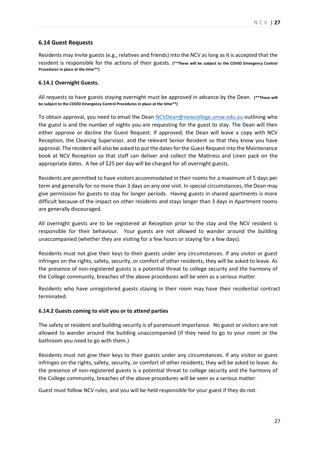### **6.14 Guest Requests**

Residents may invite guests (e.g., relatives and friends) into the NCV as long as it is accepted that the resident is responsible for the actions of their guests. **(\*\*These will be subject to the COVID Emergency Control Procedures in place at the time\*\*)** 

#### **6.14.1 Overnight Guests.**

All requests to have guests staying overnight must be approved in advance by the Dean. **(\*\*These will be subject to the COVID Emergency Control Procedures in place at the time\*\*)** 

To obtain approval, you need to email the Dean [NCVDean@newcollege.unsw.edu.au](mailto:NCVDean@newcollege.unsw.edu.au) outlining who the guest is and the number of nights you are requesting for the guest to stay. The Dean will then either approve or decline the Guest Request. If approved, the Dean will leave a copy with NCV Reception, the Cleaning Supervisor, and the relevant Senior Resident so that they know you have approval. The resident will also be asked to put the dates for the Guest Request into the Maintenance book at NCV Reception so that staff can deliver and collect the Mattress and Linen pack on the appropriate dates. A fee of \$25 per day will be charged for all overnight guests.

Residents are permitted to have visitors accommodated in their rooms for a maximum of 5 days per term and generally for no more than 3 days on any one visit. In special circumstances, the Dean may give permission for guests to stay for longer periods. Having guests in shared apartments is more difficult because of the impact on other residents and stays longer than 3 days in Apartment rooms are generally discouraged.

All overnight guests are to be registered at Reception prior to the stay and the NCV resident is responsible for their behaviour. Your guests are not allowed to wander around the building unaccompanied (whether they are visiting for a few hours or staying for a few days).

Residents must not give their keys to their guests under any circumstances. If any visitor or guest infringes on the rights, safety, security, or comfort of other residents, they will be asked to leave. As the presence of non-registered guests is a potential threat to college security and the harmony of the College community, breaches of the above procedures will be seen as a serious matter.

Residents who have unregistered guests staying in their room may have their residential contract terminated.

#### **6.14.2 Guests coming to visit you or to attend parties**

The safety or resident and building security is of paramount importance. No guest or visitors are not allowed to wander around the building unaccompanied (if they need to go to your room or the bathroom you need to go with them.)

Residents must not give their keys to their guests under any circumstances. If any visitor or guest infringes on the rights, safety, security, or comfort of other residents, they will be asked to leave. As the presence of non-registered guests is a potential threat to college security and the harmony of the College community, breaches of the above procedures will be seen as a serious matter.

Guest must follow NCV rules, and you will be held responsible for your guest if they do not.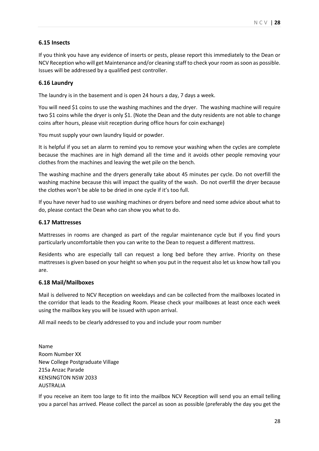### **6.15 Insects**

If you think you have any evidence of inserts or pests, please report this immediately to the Dean or NCV Reception who will get Maintenance and/or cleaning staff to check your room as soon as possible. Issues will be addressed by a qualified pest controller.

#### **6.16 Laundry**

The laundry is in the basement and is open 24 hours a day, 7 days a week.

You will need \$1 coins to use the washing machines and the dryer. The washing machine will require two \$1 coins while the dryer is only \$1. (Note the Dean and the duty residents are not able to change coins after hours, please visit reception during office hours for coin exchange)

You must supply your own laundry liquid or powder.

It is helpful if you set an alarm to remind you to remove your washing when the cycles are complete because the machines are in high demand all the time and it avoids other people removing your clothes from the machines and leaving the wet pile on the bench.

The washing machine and the dryers generally take about 45 minutes per cycle. Do not overfill the washing machine because this will impact the quality of the wash. Do not overfill the dryer because the clothes won't be able to be dried in one cycle if it's too full.

If you have never had to use washing machines or dryers before and need some advice about what to do, please contact the Dean who can show you what to do.

#### **6.17 Mattresses**

Mattresses in rooms are changed as part of the regular maintenance cycle but if you find yours particularly uncomfortable then you can write to the Dean to request a different mattress.

Residents who are especially tall can request a long bed before they arrive. Priority on these mattresses is given based on your height so when you put in the request also let us know how tall you are.

#### **6.18 Mail/Mailboxes**

Mail is delivered to NCV Reception on weekdays and can be collected from the mailboxes located in the corridor that leads to the Reading Room. Please check your mailboxes at least once each week using the mailbox key you will be issued with upon arrival.

All mail needs to be clearly addressed to you and include your room number

Name Room Number XX New College Postgraduate Village 215a Anzac Parade KENSINGTON NSW 2033 **AUSTRALIA** 

If you receive an item too large to fit into the mailbox NCV Reception will send you an email telling you a parcel has arrived. Please collect the parcel as soon as possible (preferably the day you get the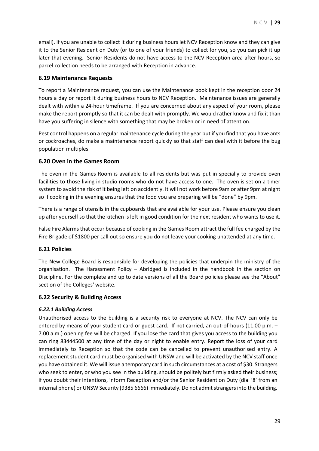email). If you are unable to collect it during business hours let NCV Reception know and they can give it to the Senior Resident on Duty (or to one of your friends) to collect for you, so you can pick it up later that evening. Senior Residents do not have access to the NCV Reception area after hours, so parcel collection needs to be arranged with Reception in advance.

### **6.19 Maintenance Requests**

To report a Maintenance request, you can use the Maintenance book kept in the reception door 24 hours a day or report it during business hours to NCV Reception. Maintenance issues are generally dealt with within a 24-hour timeframe. If you are concerned about any aspect of your room, please make the report promptly so that it can be dealt with promptly. We would rather know and fix it than have you suffering in silence with something that may be broken or in need of attention.

Pest control happens on a regular maintenance cycle during the year but if you find that you have ants or cockroaches, do make a maintenance report quickly so that staff can deal with it before the bug population multiples.

### **6.20 Oven in the Games Room**

The oven in the Games Room is available to all residents but was put in specially to provide oven facilities to those living in studio rooms who do not have access to one. The oven is set on a timer system to avoid the risk of it being left on accidently. It will not work before 9am or after 9pm at night so if cooking in the evening ensures that the food you are preparing will be "done" by 9pm.

There is a range of utensils in the cupboards that are available for your use. Please ensure you clean up after yourself so that the kitchen is left in good condition for the next resident who wants to use it.

False Fire Alarms that occur because of cooking in the Games Room attract the full fee charged by the Fire Brigade of \$1800 per call out so ensure you do not leave your cooking unattended at any time.

#### **6.21 Policies**

The New College Board is responsible for developing the policies that underpin the ministry of the organisation. The Harassment Policy – Abridged is included in the handbook in the section on Discipline. For the complete and up to date versions of all the Board policies please see the "About" section of the Colleges' website.

#### **6.22 Security & Building Access**

#### *6.22.1 Building Access*

Unauthorised access to the building is a security risk to everyone at NCV. The NCV can only be entered by means of your student card or guest card. If not carried, an out-of-hours (11.00 p.m. – 7.00 a.m.) opening fee will be charged. If you lose the card that gives you access to the building you can ring 83444500 at any time of the day or night to enable entry. Report the loss of your card immediately to Reception so that the code can be cancelled to prevent unauthorised entry. A replacement student card must be organised with UNSW and will be activated by the NCV staff once you have obtained it. We will issue a temporary card in such circumstances at a cost of \$30. Strangers who seek to enter, or who you see in the building, should be politely but firmly asked their business; if you doubt their intentions, inform Reception and/or the Senior Resident on Duty (dial '8' from an internal phone) or UNSW Security (9385 6666) immediately. Do not admit strangers into the building.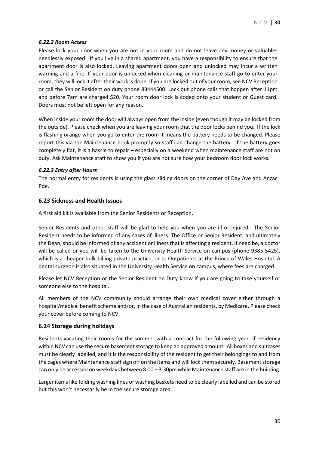#### *6.22.2 Room Access*

Please lock your door when you are not in your room and do not leave any money or valuables needlessly exposed. If you live in a shared apartment, you have a responsibility to ensure that the apartment door is also locked. Leaving apartment doors open and unlocked may incur a written warning and a fine. If your door is unlocked when cleaning or maintenance staff go to enter your room, they will lock it after their work is done. If you are locked out of your room, see NCV Reception or call the Senior Resident on duty phone 83444500. Lock out phone calls that happen after 11pm and before 7am are charged \$20. Your room door lock is coded onto your student or Guest card. Doors must not be left open for any reason.

When inside your room the door will always open from the inside (even though it may be locked from the outside). Please check when you are leaving your room that the door locks behind you. If the lock is flashing orange when you go to enter the room it means the battery needs to be changed. Please report this via the Maintenance book promptly so staff can change the battery. If the battery goes completely flat, it is a hassle to repair – especially on a weekend when maintenance staff are not on duty. Ask Maintenance staff to show you if you are not sure how your bedroom door lock works.

#### *6.22.3 Entry after Hours*

The normal entry for residents is using the glass sliding doors on the corner of Day Ave and Anzac Pde.

#### **6.23 Sickness and Health Issues**

A first aid kit is available from the Senior Residents or Reception.

Senior Residents and other staff will be glad to help you when you are ill or injured. The Senior Resident needs to be informed of any cases of illness. The Office or Senior Resident, and ultimately the Dean, should be informed of any accident or illness that is affecting a resident. If need be, a doctor will be called or you will be taken to the University Health Service on campus (phone 9385 5425), which is a cheaper bulk-billing private practice, or to Outpatients at the Prince of Wales Hospital. A dental surgeon is also situated in the University Health Service on campus, where fees are charged.

Please let NCV Reception or the Senior Resident on Duty know if you are going to take yourself or someone else to the hospital.

All members of the NCV community should arrange their own medical cover either through a hospital/medical benefit scheme and/or, in the case of Australian residents, by Medicare. Please check your cover before coming to NCV.

#### **6.24 Storage during holidays**

Residents vacating their rooms for the summer with a contract for the following year of residency within NCV can use the secure basement storage to keep an approved amount All boxes and suitcases must be clearly labelled, and it is the responsibility of the resident to get their belongings to and from the cages where Maintenance staff sign off on the items and will lock them securely. Basement storage can only be accessed on weekdays between 8.00 – 3.30pm while Maintenance staff are in the building.

Larger items like folding washing lines or washing baskets need to be clearly labelled and can be stored but this won't necessarily be in the secure storage area.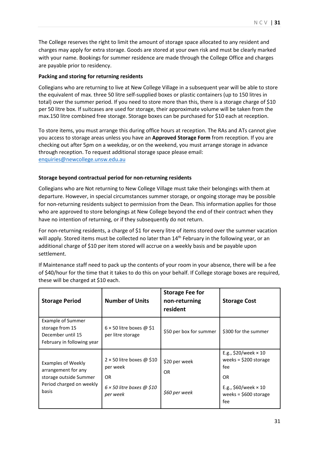The College reserves the right to limit the amount of storage space allocated to any resident and charges may apply for extra storage. Goods are stored at your own risk and must be clearly marked with your name. Bookings for summer residence are made through the College Office and charges are payable prior to residency.

#### **Packing and storing for returning residents**

Collegians who are returning to live at New College Village in a subsequent year will be able to store the equivalent of max. three 50 litre self-supplied boxes or plastic containers (up to 150 litres in total) over the summer period. If you need to store more than this, there is a storage charge of \$10 per 50 litre box. If suitcases are used for storage, their approximate volume will be taken from the max.150 litre combined free storage. Storage boxes can be purchased for \$10 each at reception.

To store items, you must arrange this during office hours at reception. The RAs and ATs cannot give you access to storage areas unless you have an **Approved Storage Form** from reception. If you are checking out after 5pm on a weekday, or on the weekend, you must arrange storage in advance through reception. To request additional storage space please email: [enquiries@newcollege.unsw.edu.au](mailto:enquiries@newcollege.unsw.edu.au)

#### **Storage beyond contractual period for non-returning residents**

Collegians who are Not returning to New College Village must take their belongings with them at departure. However, in special circumstances summer storage, or ongoing storage may be possible for non-returning residents subject to permission from the Dean. This information applies for those who are approved to store belongings at New College beyond the end of their contract when they have no intention of returning, or if they subsequently do not return.

For non-returning residents, a charge of \$1 for every litre of items stored over the summer vacation will apply. Stored items must be collected no later than 14<sup>th</sup> February in the following year, or an additional charge of \$10 per item stored will accrue on a weekly basis and be payable upon settlement.

If Maintenance staff need to pack up the contents of your room in your absence, there will be a fee of \$40/hour for the time that it takes to do this on your behalf. If College storage boxes are required, these will be charged at \$10 each.

| <b>Storage Period</b>                                                                                    | <b>Number of Units</b>                                                                              | <b>Storage Fee for</b><br>non-returning<br>resident | <b>Storage Cost</b>                                                                                                              |
|----------------------------------------------------------------------------------------------------------|-----------------------------------------------------------------------------------------------------|-----------------------------------------------------|----------------------------------------------------------------------------------------------------------------------------------|
| <b>Example of Summer</b><br>storage from 15<br>December until 15<br>February in following year           | $6 \times 50$ litre boxes @ \$1<br>per litre storage                                                | \$50 per box for summer                             | \$300 for the summer                                                                                                             |
| Examples of Weekly<br>arrangement for any<br>storage outside Summer<br>Period charged on weekly<br>basis | $2 \times 50$ litre boxes @ \$10<br>per week<br>OR.<br>$6 \times 50$ litre boxes @ \$10<br>per week | \$20 per week<br><b>OR</b><br>\$60 per week         | E.g., $$20/week \times 10$<br>weeks = $$200$ storage<br>fee<br>0R<br>E.g., $$60/week \times 10$<br>weeks = $$600$ storage<br>fee |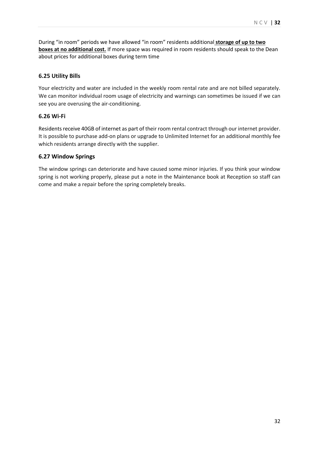During "in room" periods we have allowed "in room" residents additional **storage of up to two boxes at no additional cost.** If more space was required in room residents should speak to the Dean about prices for additional boxes during term time

# **6.25 Utility Bills**

Your electricity and water are included in the weekly room rental rate and are not billed separately. We can monitor individual room usage of electricity and warnings can sometimes be issued if we can see you are overusing the air-conditioning.

# **6.26 Wi-Fi**

Residents receive 40GB of internet as part of their room rental contract through our internet provider. It is possible to purchase add-on plans or upgrade to Unlimited Internet for an additional monthly fee which residents arrange directly with the supplier.

# **6.27 Window Springs**

The window springs can deteriorate and have caused some minor injuries. If you think your window spring is not working properly, please put a note in the Maintenance book at Reception so staff can come and make a repair before the spring completely breaks.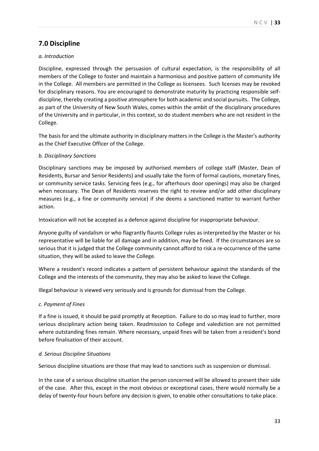# **7.0 Discipline**

#### *a. Introduction*

Discipline, expressed through the persuasion of cultural expectation, is the responsibility of all members of the College to foster and maintain a harmonious and positive pattern of community life in the College. All members are permitted in the College as licensees. Such licenses may be revoked for disciplinary reasons. You are encouraged to demonstrate maturity by practicing responsible selfdiscipline, thereby creating a positive atmosphere for both academic and social pursuits. The College, as part of the University of New South Wales, comes within the ambit of the disciplinary procedures of the University and in particular, in this context, so do student members who are not resident in the College.

The basis for and the ultimate authority in disciplinary matters in the College is the Master's authority as the Chief Executive Officer of the College.

#### *b. Disciplinary Sanctions*

Disciplinary sanctions may be imposed by authorised members of college staff (Master, Dean of Residents, Bursar and Senior Residents) and usually take the form of formal cautions, monetary fines, or community service tasks. Servicing fees (e.g., for afterhours door openings) may also be charged when necessary. The Dean of Residents reserves the right to review and/or add other disciplinary measures (e.g., a fine or community service) if she deems a sanctioned matter to warrant further action.

Intoxication will not be accepted as a defence against discipline for inappropriate behaviour.

Anyone guilty of vandalism or who flagrantly flaunts College rules as interpreted by the Master or his representative will be liable for all damage and in addition, may be fined. If the circumstances are so serious that it is judged that the College community cannot afford to risk a re-occurrence of the same situation, they will be asked to leave the College.

Where a resident's record indicates a pattern of persistent behaviour against the standards of the College and the interests of the community, they may also be asked to leave the College.

Illegal behaviour is viewed very seriously and is grounds for dismissal from the College.

#### *c. Payment of Fines*

If a fine is issued, it should be paid promptly at Reception. Failure to do so may lead to further, more serious disciplinary action being taken. Readmission to College and valediction are not permitted where outstanding fines remain. Where necessary, unpaid fines will be taken from a resident's bond before finalisation of their account.

#### *d. Serious Discipline Situations*

Serious discipline situations are those that may lead to sanctions such as suspension or dismissal.

In the case of a serious discipline situation the person concerned will be allowed to present their side of the case. After this, except in the most obvious or exceptional cases, there would normally be a delay of twenty-four hours before any decision is given, to enable other consultations to take place.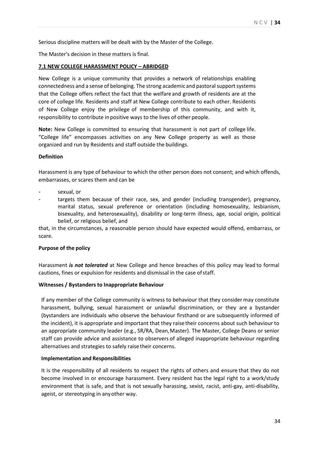Serious discipline matters will be dealt with by the Master of the College.

The Master's decision in these matters is final.

#### **7.1 NEW COLLEGE HARASSMENT POLICY – ABRIDGED**

New College is a unique community that provides a network of relationships enabling connectedness and a sense of belonging. The strong academic and pastoral support systems that the College offers reflect the fact that the welfare and growth of residents are at the core of college life. Residents and staff at New College contribute to each other. Residents of New College enjoy the privilege of membership of this community, and with it, responsibility to contribute inpositive ways to the lives of other people.

**Note:** New College is committed to ensuring that harassment is not part of college life. "College life" encompasses activities on any New College property as well as those organized and run by Residents and staff outside the buildings.

#### **Definition**

Harassment is any type of behaviour to which the other person does not consent; and which offends, embarrasses, or scares them and can be

- sexual, or
- targets them because of their race, sex, and gender (including transgender), pregnancy, marital status, sexual preference or orientation (including homosexuality, lesbianism, bisexuality, and heterosexuality), disability or long-term illness, age, social origin, political belief, or religious belief, and

that, in the circumstances, a reasonable person should have expected would offend, embarrass, or scare.

#### **Purpose of the policy**

Harassment *is not tolerated* at New College and hence breaches of this policy may lead to formal cautions, fines or expulsion for residents and dismissal in the case ofstaff.

#### **Witnesses / Bystanders to Inappropriate Behaviour**

If any member of the College community is witness to behaviour that they consider may constitute harassment, bullying, sexual harassment or unlawful discrimination, or they are a bystander (bystanders are individuals who observe the behaviour firsthand or are subsequently informed of the incident), it is appropriate and important that they raisetheir concerns about such behaviour to an appropriate community leader (e.g., SR/RA, Dean, Master). The Master, College Deans or senior staff can provide advice and assistance to observers of alleged inappropriate behaviour regarding alternatives and strategies to safely raise their concerns.

#### **Implementation and Responsibilities**

It is the responsibility of all residents to respect the rights of others and ensure that they do not become involved in or encourage harassment. Every resident has the legal right to a work/study environment that is safe, and that is not sexually harassing, sexist, racist, anti-gay, anti-disability, ageist, or stereotyping in anyother way.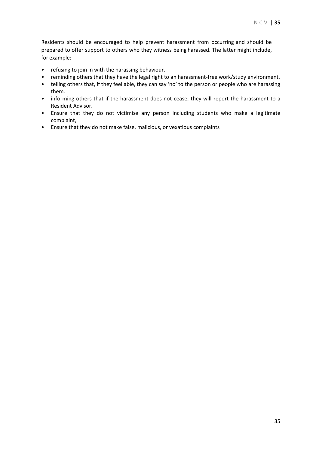Residents should be encouraged to help prevent harassment from occurring and should be prepared to offer support to others who they witness being harassed. The latter might include, for example:

- refusing to join in with the harassing behaviour.
- reminding others that they have the legal right to an harassment-free work/study environment.
- telling others that, if they feel able, they can say 'no' to the person or people who are harassing them.
- informing others that if the harassment does not cease, they will report the harassment to a Resident Advisor.
- Ensure that they do not victimise any person including students who make a legitimate complaint,
- Ensure that they do not make false, malicious, or vexatious complaints